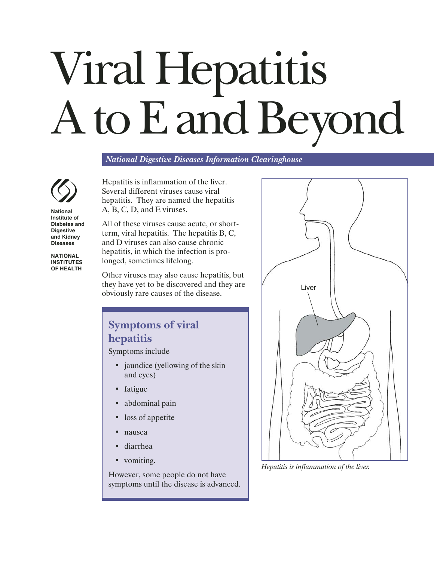# Viral Hepatitis A to E and Beyond

*National Digestive Diseases Information Clearinghouse*



**National Institute of Diabetes and Digestive and Kidney Diseases**

**NATIONAL INSTITUTES OF HEALTH**

Hepatitis is inflammation of the liver. Several different viruses cause viral hepatitis. They are named the hepatitis A, B, C, D, and E viruses.

All of these viruses cause acute, or shortterm, viral hepatitis. The hepatitis B, C, and D viruses can also cause chronic hepatitis, in which the infection is prolonged, sometimes lifelong.

Other viruses may also cause hepatitis, but they have yet to be discovered and they are obviously rare causes of the disease.

# **Symptoms of viral hepatitis**

Symptoms include

- jaundice (yellowing of the skin and eyes)
- fatigue
- abdominal pain
- loss of appetite
- nausea
- diarrhea
- vomiting.

However, some people do not have symptoms until the disease is advanced.



*Hepatitis is inflammation of the liver.*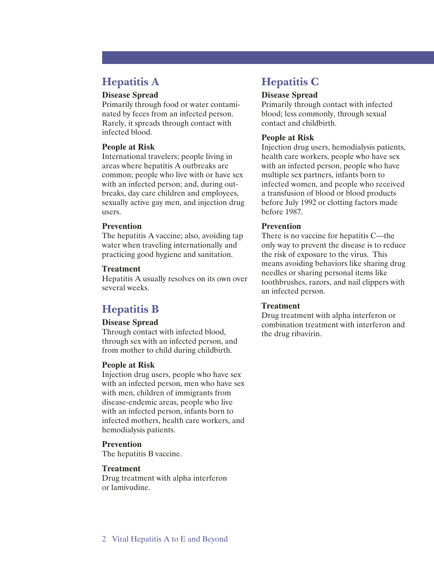# **Hepatitis A**

#### **Disease Spread**

Primarily through food or water contaminated by feces from an infected person. Rarely, it spreads through contact with infected blood.

## **People at Risk**

International travelers; people living in areas where hepatitis A outbreaks are common; people who live with or have sex with an infected person; and, during outbreaks, day care children and employees, sexually active gay men, and injection drug users.

#### **Prevention**

The hepatitis A vaccine; also, avoiding tap water when traveling internationally and practicing good hygiene and sanitation.

#### **Treatment**

Hepatitis A usually resolves on its own over several weeks.

# **Hepatitis B**

#### **Disease Spread**

Through contact with infected blood, through sex with an infected person, and from mother to child during childbirth.

## **People at Risk**

Injection drug users, people who have sex with an infected person, men who have sex with men, children of immigrants from disease-endemic areas, people who live with an infected person, infants born to infected mothers, health care workers, and hemodialysis patients.

#### **Prevention**

The hepatitis B vaccine.

#### **Treatment**

Drug treatment with alpha interferon or lamivudine.

# **Hepatitis C**

#### **Disease Spread**

Primarily through contact with infected blood; less commonly, through sexual contact and childbirth.

## **People at Risk**

Injection drug users, hemodialysis patients, health care workers, people who have sex with an infected person, people who have multiple sex partners, infants born to infected women, and people who received a transfusion of blood or blood products before July 1992 or clotting factors made before 1987.

#### **Prevention**

There is no vaccine for hepatitis C—the only way to prevent the disease is to reduce the risk of exposure to the virus. This means avoiding behaviors like sharing drug needles or sharing personal items like toothbrushes, razors, and nail clippers with an infected person.

#### **Treatment**

Drug treatment with alpha interferon or combination treatment with interferon and the drug ribavirin.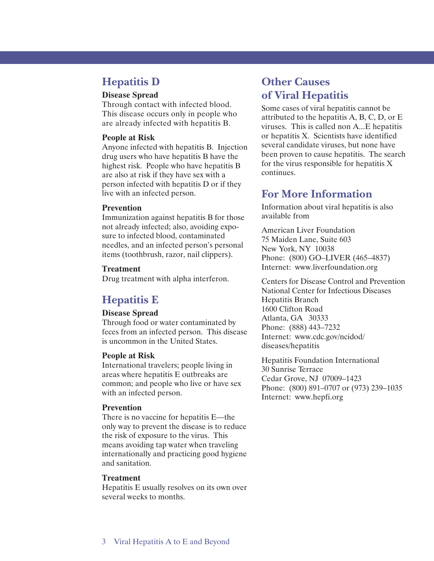## **Hepatitis D**

## **Disease Spread**

Through contact with infected blood. This disease occurs only in people who are already infected with hepatitis B.

#### **People at Risk**

Anyone infected with hepatitis B. Injection drug users who have hepatitis B have the highest risk. People who have hepatitis B are also at risk if they have sex with a person infected with hepatitis D or if they live with an infected person.

#### **Prevention**

Immunization against hepatitis B for those not already infected; also, avoiding exposure to infected blood, contaminated needles, and an infected person's personal items (toothbrush, razor, nail clippers).

#### **Treatment**

Drug treatment with alpha interferon.

# **Hepatitis E**

#### **Disease Spread**

Through food or water contaminated by feces from an infected person. This disease is uncommon in the United States.

## **People at Risk**

International travelers; people living in areas where hepatitis E outbreaks are common; and people who live or have sex with an infected person.

#### **Prevention**

There is no vaccine for hepatitis E—the only way to prevent the disease is to reduce the risk of exposure to the virus. This means avoiding tap water when traveling internationally and practicing good hygiene and sanitation.

#### **Treatment**

Hepatitis E usually resolves on its own over several weeks to months.

# **Other Causes of Viral Hepatitis**

Some cases of viral hepatitis cannot be attributed to the hepatitis A, B, C, D, or E viruses. This is called non A...E hepatitis or hepatitis X. Scientists have identified several candidate viruses, but none have been proven to cause hepatitis. The search for the virus responsible for hepatitis X continues.

## **For More Information**

Information about viral hepatitis is also available from

American Liver Foundation 75 Maiden Lane, Suite 603 New York, NY 10038 Phone: (800) GO–LIVER (465–4837) Internet: www.liverfoundation.org

Centers for Disease Control and Prevention National Center for Infectious Diseases Hepatitis Branch 1600 Clifton Road Atlanta, GA 30333 Phone: (888) 443–7232 Internet: www.cdc.gov/ncidod/ diseases/hepatitis

Hepatitis Foundation International 30 Sunrise Terrace Cedar Grove, NJ 07009–1423 Phone: (800) 891–0707 or (973) 239–1035 Internet: www.hepfi.org